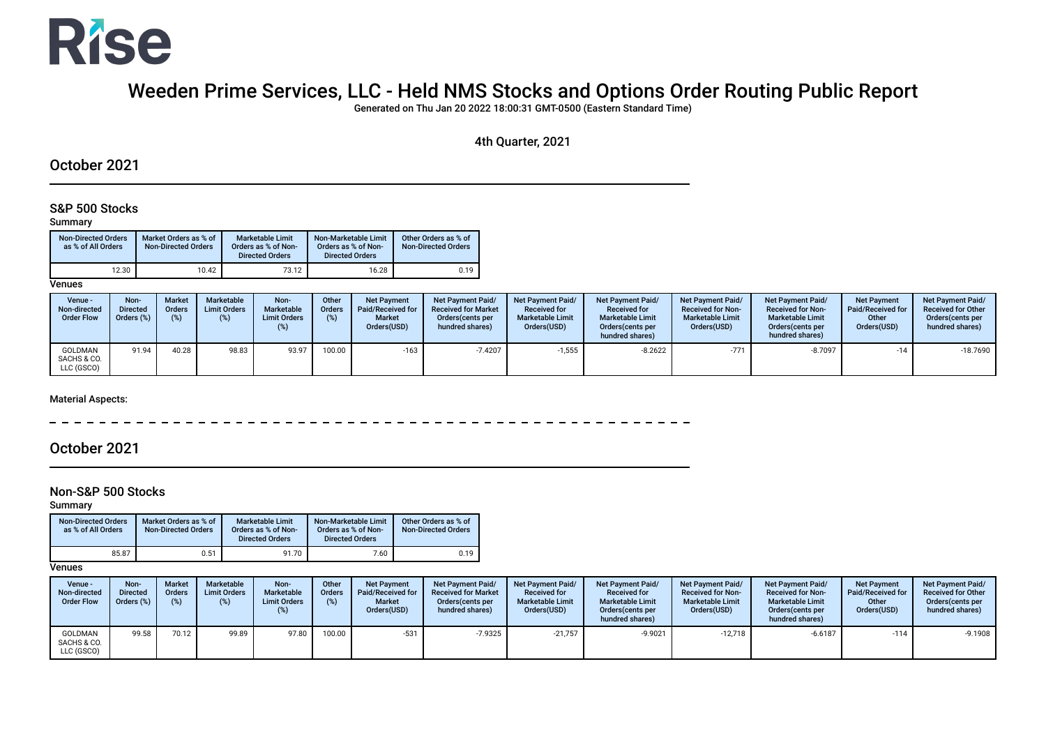

# Weeden Prime Services, LLC - Held NMS Stocks and Options Order Routing Public Report

Generated on Thu Jan 20 2022 18:00:31 GMT-0500 (Eastern Standard Time)

### 4th Quarter, 2021

### October 2021

### S&P 500 Stocks

#### Summary

| Non-Directed Orders<br>as % of All Orders | Market Orders as % of<br><b>Non-Directed Orders</b> | <b>Marketable Limit</b><br>Orders as % of Non-<br><b>Directed Orders</b> | Non-Marketable Limit<br>Orders as % of Non-<br><b>Directed Orders</b> | Other Orders as % of<br><b>Non-Directed Orders</b> |
|-------------------------------------------|-----------------------------------------------------|--------------------------------------------------------------------------|-----------------------------------------------------------------------|----------------------------------------------------|
| 12.30                                     | 10.42                                               | 73.12                                                                    | 16.28                                                                 | 0.19                                               |

#### **Venues**

| Venue -<br>Non-directed<br><b>Order Flow</b> | Non-<br>Directed<br>Orders (%) | <b>Market</b><br><b>Orders</b><br>(%) | <b>Marketable</b><br><b>Limit Orders</b><br>(%) | Non-<br>Marketable<br><b>Limit Orders</b><br>(%) | Other<br><b>Orders</b><br>(%) | <b>Net Payment</b><br>Paid/Received for<br><b>Market</b><br>Orders(USD) | <b>Net Payment Paid/</b><br><b>Received for Market</b><br>Orders (cents per<br>hundred shares) | <b>Net Payment Paid/</b><br><b>Received for</b><br><b>Marketable Limit</b><br>Orders(USD) | <b>Net Payment Paid/</b><br><b>Received for</b><br><b>Marketable Limit</b><br>Orders (cents per<br>hundred shares) | <b>Net Payment Paid/</b><br><b>Received for Non-</b><br><b>Marketable Limit</b><br>Orders(USD) | <b>Net Payment Paid/</b><br><b>Received for Non-</b><br><b>Marketable Limit</b><br>Orders (cents per<br>hundred shares) | <b>Net Payment</b><br><b>Paid/Received for</b><br>Other<br>Orders(USD) | <b>Net Payment Paid/</b><br><b>Received for Other</b><br>Orders(cents per<br>hundred shares) |
|----------------------------------------------|--------------------------------|---------------------------------------|-------------------------------------------------|--------------------------------------------------|-------------------------------|-------------------------------------------------------------------------|------------------------------------------------------------------------------------------------|-------------------------------------------------------------------------------------------|--------------------------------------------------------------------------------------------------------------------|------------------------------------------------------------------------------------------------|-------------------------------------------------------------------------------------------------------------------------|------------------------------------------------------------------------|----------------------------------------------------------------------------------------------|
| GOLDMAN<br>SACHS & CO.<br>LLC (GSCO)         | 91.94                          | 40.28                                 | 98.83                                           | 93.97                                            | 100.00                        | $-163$                                                                  | $-7.4207$                                                                                      | $-1,555$                                                                                  | $-8.2622$                                                                                                          | $-771$                                                                                         | $-8.7097$                                                                                                               | $-14$                                                                  | $-18.7690$                                                                                   |

#### Material Aspects:

<u>------------------</u> ---------

## October 2021

#### Non-S&P 500 Stocks

Summary

| <b>Non-Directed Orders</b><br>as % of All Orders | Market Orders as % of<br><b>Non-Directed Orders</b> | <b>Marketable Limit</b><br>Orders as % of Non-<br><b>Directed Orders</b> | Non-Marketable Limit<br>Orders as % of Non-<br><b>Directed Orders</b> | Other Orders as % of<br><b>Non-Directed Orders</b> |
|--------------------------------------------------|-----------------------------------------------------|--------------------------------------------------------------------------|-----------------------------------------------------------------------|----------------------------------------------------|
| 85.87                                            | 0.51                                                | 91.70                                                                    | 7.60                                                                  | 0.19                                               |

#### **Venues**

| <b>Venue</b> -<br>Non-directed<br><b>Order Flow</b> | Non-<br><b>Directed</b><br>Orders (%) | <b>Market</b><br>Orders<br>(%) | Marketable<br><b>Limit Orders</b><br>(%) | Non-<br>Marketable<br><b>Limit Orders</b><br>$(\%)$ | Other<br>Orders<br>(%) | <b>Net Payment</b><br>Paid/Received for<br><b>Market</b><br>Orders(USD) | Net Payment Paid/<br><b>Received for Market</b><br>Orders (cents per<br>hundred shares) | <b>Net Payment Paid/</b><br><b>Received for</b><br><b>Marketable Limit</b><br>Orders(USD) | <b>Net Payment Paid/</b><br><b>Received for</b><br><b>Marketable Limit</b><br>Orders (cents per<br>hundred shares) | <b>Net Payment Paid/</b><br><b>Received for Non-</b><br><b>Marketable Limit</b><br>Orders(USD) | <b>Net Payment Paid/</b><br><b>Received for Non-</b><br><b>Marketable Limit</b><br>Orders (cents per<br>hundred shares) | <b>Net Payment</b><br>Paid/Received for<br>Other<br>Orders(USD) | <b>Net Payment Paid/</b><br><b>Received for Other</b><br>Orders cents per<br>hundred shares) |
|-----------------------------------------------------|---------------------------------------|--------------------------------|------------------------------------------|-----------------------------------------------------|------------------------|-------------------------------------------------------------------------|-----------------------------------------------------------------------------------------|-------------------------------------------------------------------------------------------|--------------------------------------------------------------------------------------------------------------------|------------------------------------------------------------------------------------------------|-------------------------------------------------------------------------------------------------------------------------|-----------------------------------------------------------------|----------------------------------------------------------------------------------------------|
| GOLDMAN<br>SACHS & CO.<br>LLC (GSCO)                | 99.58                                 | 70.12                          | 99.89                                    | 97.80                                               | 100.00                 | $-531$                                                                  | $-7.9325$                                                                               | $-21,757$                                                                                 | $-9.9021$                                                                                                          | $-12,718$                                                                                      | $-6.6187$                                                                                                               | $-114$                                                          | $-9.1908$                                                                                    |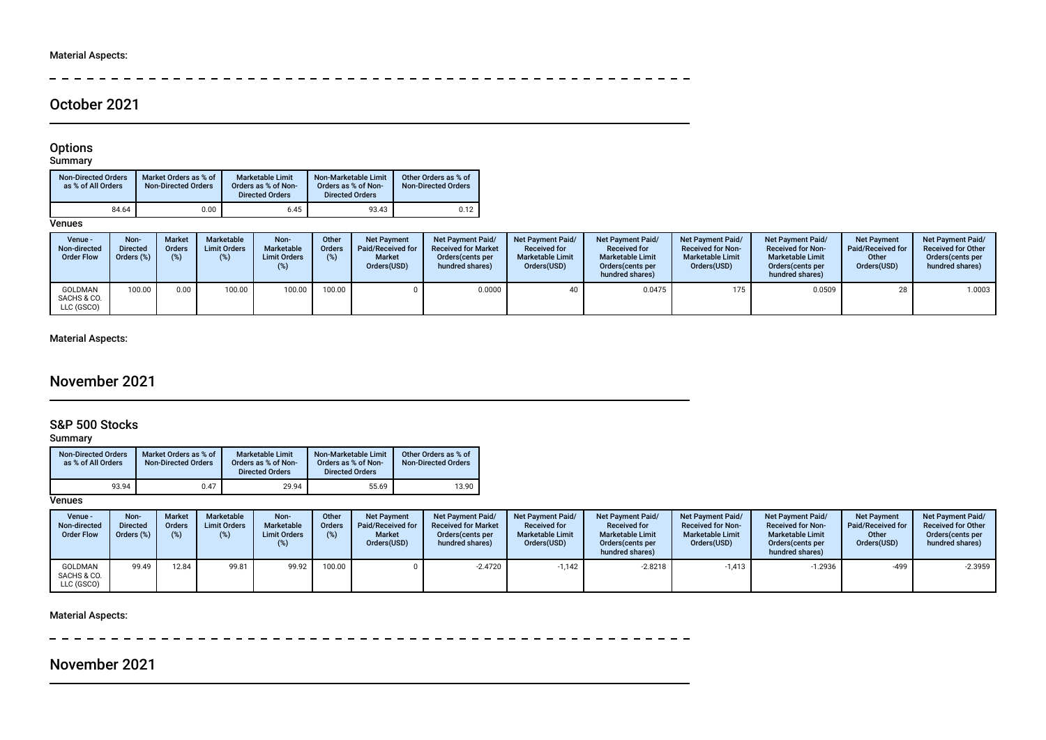$\equiv$ \_\_\_\_\_\_\_\_\_\_\_\_\_\_\_\_\_\_\_\_\_

## October 2021

#### Options

#### Summary

| <b>Non-Directed Orders</b><br>as % of All Orders | Market Orders as % of<br><b>Non-Directed Orders</b> | <b>Marketable Limit</b><br>Orders as % of Non-<br><b>Directed Orders</b> | Non-Marketable Limit<br>Orders as % of Non-<br><b>Directed Orders</b> | Other Orders as % of<br><b>Non-Directed Orders</b> |
|--------------------------------------------------|-----------------------------------------------------|--------------------------------------------------------------------------|-----------------------------------------------------------------------|----------------------------------------------------|
| 84.64                                            | 0.00                                                | 6.45                                                                     | 93.43                                                                 | 0.12                                               |

### **Venues**

| Venue -<br>Non-directed<br><b>Order Flow</b> | Non-<br><b>Directed</b><br>Orders (%) | <b>Market</b><br><b>Orders</b><br>$(\%)$ | <b>Marketable</b><br><b>Limit Orders</b><br>$(\%)$ | Non-<br>Marketable<br><b>Limit Orders</b> | Other<br>Orders<br>(%) | <b>Net Payment</b><br>Paid/Received for<br><b>Market</b><br>Orders(USD) | Net Payment Paid/<br><b>Received for Market</b><br>Orders(cents per<br>hundred shares) | <b>Net Payment Paid/</b><br><b>Received for</b><br><b>Marketable Limit</b><br>Orders(USD) | <b>Net Payment Paid/</b><br><b>Received for</b><br><b>Marketable Limit</b><br>Orders (cents per<br>hundred shares) | Net Payment Paid/<br><b>Received for Non-</b><br><b>Marketable Limit</b><br>Orders(USD) | <b>Net Payment Paid/</b><br><b>Received for Non-</b><br><b>Marketable Limit</b><br>Orders (cents per<br>hundred shares) | <b>Net Payment</b><br><b>Paid/Received for</b><br>Other<br>Orders(USD) | <b>Net Payment Paid/</b><br><b>Received for Other</b><br>Orders(cents per<br>hundred shares) |
|----------------------------------------------|---------------------------------------|------------------------------------------|----------------------------------------------------|-------------------------------------------|------------------------|-------------------------------------------------------------------------|----------------------------------------------------------------------------------------|-------------------------------------------------------------------------------------------|--------------------------------------------------------------------------------------------------------------------|-----------------------------------------------------------------------------------------|-------------------------------------------------------------------------------------------------------------------------|------------------------------------------------------------------------|----------------------------------------------------------------------------------------------|
| GOLDMAN<br>SACHS & CO.<br>LLC (GSCO)         | 100.00                                | 0.00                                     | 100.00                                             | 100.00                                    | 100.00                 |                                                                         | 0.0000                                                                                 | 40                                                                                        | 0.0475                                                                                                             | 175                                                                                     | 0.0509                                                                                                                  | 28                                                                     | 1.0003                                                                                       |

### Material Aspects:

## November 2021

## S&P 500 Stocks

### Summary

| <b>Non-Directed Orders</b><br>as % of All Orders | Market Orders as % of<br><b>Non-Directed Orders</b> | Marketable Limit<br>Orders as % of Non-<br><b>Directed Orders</b> | Non-Marketable Limit<br>Orders as % of Non-<br><b>Directed Orders</b> | Other Orders as % of<br><b>Non-Directed Orders</b> |
|--------------------------------------------------|-----------------------------------------------------|-------------------------------------------------------------------|-----------------------------------------------------------------------|----------------------------------------------------|
| 93.94                                            | 0.47                                                | 29.94                                                             | 55.69                                                                 | 13.90                                              |

### **Venues**

| Venue -<br>Non-directed<br><b>Order Flow</b> | Non-<br><b>Directed</b><br>Orders (%) | <b>Market</b><br><b>Orders</b><br>(%) | <b>Marketable</b><br><b>Limit Orders</b><br>(%) | Non-<br>Marketable<br><b>Limit Orders</b><br>(%) | Other<br><b>Orders</b><br>(%) | <b>Net Payment</b><br>Paid/Received for<br><b>Market</b><br>Orders(USD) | <b>Net Payment Paid/</b><br><b>Received for Market</b><br>Orders (cents per<br>hundred shares) | <b>Net Payment Paid/</b><br><b>Received for</b><br><b>Marketable Limit</b><br>Orders(USD) | <b>Net Payment Paid/</b><br><b>Received for</b><br><b>Marketable Limit</b><br>Orders (cents per<br>hundred shares) | Net Payment Paid/<br><b>Received for Non-</b><br><b>Marketable Limit</b><br>Orders(USD) | <b>Net Payment Paid/</b><br><b>Received for Non-</b><br><b>Marketable Limit</b><br>Orders(cents per<br>hundred shares) | <b>Net Payment</b><br>Paid/Received for<br>Other<br>Orders(USD) | Net Pavment Paid/<br><b>Received for Other</b><br>Orders(cents per<br>hundred shares) |
|----------------------------------------------|---------------------------------------|---------------------------------------|-------------------------------------------------|--------------------------------------------------|-------------------------------|-------------------------------------------------------------------------|------------------------------------------------------------------------------------------------|-------------------------------------------------------------------------------------------|--------------------------------------------------------------------------------------------------------------------|-----------------------------------------------------------------------------------------|------------------------------------------------------------------------------------------------------------------------|-----------------------------------------------------------------|---------------------------------------------------------------------------------------|
| <b>GOLDMAN</b><br>SACHS & CO.<br>LLC (GSCO)  | 99.49                                 | 12.84                                 | 99.81                                           | 99.92                                            | 100.00                        |                                                                         | $-2.4720$                                                                                      | $-1.142$                                                                                  | $-2.8218$                                                                                                          | $-1,413$                                                                                | $-1.2936$                                                                                                              | -499                                                            | $-2.3959$                                                                             |

#### Material Aspects:

-------------------- $\sim$   $-$ **Service Contract Contract Contract** 

## November 2021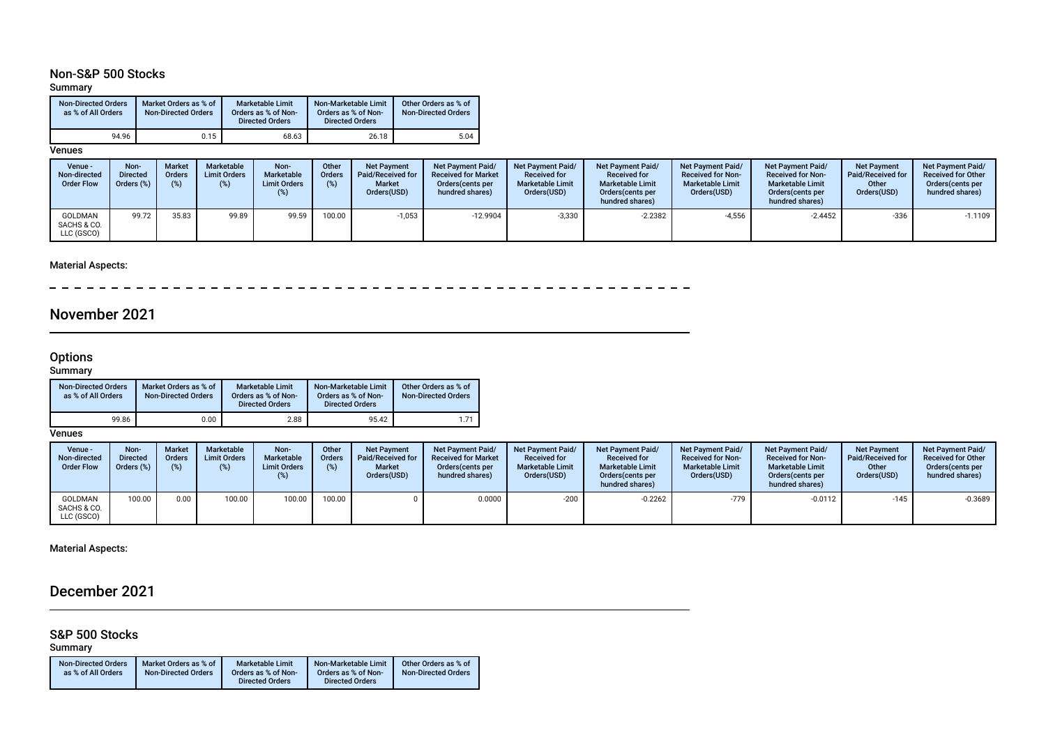### Non-S&P 500 Stocks

### Summary

| <b>Non-Directed Orders</b><br>as % of All Orders | Market Orders as % of<br><b>Non-Directed Orders</b> | <b>Marketable Limit</b><br>Orders as % of Non-<br><b>Directed Orders</b> | Non-Marketable Limit<br>Orders as % of Non-<br><b>Directed Orders</b> | Other Orders as % of<br><b>Non-Directed Orders</b> |  |  |
|--------------------------------------------------|-----------------------------------------------------|--------------------------------------------------------------------------|-----------------------------------------------------------------------|----------------------------------------------------|--|--|
| 94.96                                            | 0.15                                                | 68.63                                                                    | 26.18                                                                 | 5.04                                               |  |  |

#### **Venues**

| Venue -<br>Non-directed<br><b>Order Flow</b> | Non-<br><b>Directed</b><br>Orders (%) | <b>Market</b><br><b>Orders</b><br>(9) | Marketable<br><b>Limit Orders</b> | Non-<br>Marketable<br><b>Limit Orders</b><br>(%) | Other<br>Orders<br>(%) | <b>Net Payment</b><br>Paid/Received for<br><b>Market</b><br>Orders(USD) | Net Payment Paid/<br><b>Received for Market</b><br>Orders (cents per<br>hundred shares) | <b>Net Payment Paid/</b><br><b>Received for</b><br><b>Marketable Limit</b><br>Orders(USD) | <b>Net Payment Paid/</b><br><b>Received for</b><br><b>Marketable Limit</b><br>Orders (cents per<br>hundred shares) | <b>Net Payment Paid/</b><br><b>Received for Non-</b><br><b>Marketable Limit</b><br>Orders(USD) | <b>Net Payment Paid/</b><br><b>Received for Non-</b><br><b>Marketable Limit</b><br>Orders(cents per<br>hundred shares) | <b>Net Payment</b><br>Paid/Received for<br>Other<br>Orders(USD) | Net Pavment Paid/<br><b>Received for Other</b><br>Orders(cents per<br>hundred shares) |
|----------------------------------------------|---------------------------------------|---------------------------------------|-----------------------------------|--------------------------------------------------|------------------------|-------------------------------------------------------------------------|-----------------------------------------------------------------------------------------|-------------------------------------------------------------------------------------------|--------------------------------------------------------------------------------------------------------------------|------------------------------------------------------------------------------------------------|------------------------------------------------------------------------------------------------------------------------|-----------------------------------------------------------------|---------------------------------------------------------------------------------------|
| GOLDMAN<br>SACHS & CO.<br>LLC (GSCO)         | 99.72                                 | 35.83                                 | 99.89                             | 99.59                                            | 100.00                 | $-1,053$                                                                | $-12.9904$                                                                              | $-3,330$                                                                                  | $-2.2382$                                                                                                          | $-4,556$                                                                                       | $-2.4452$                                                                                                              | $-336$                                                          | $-1.1109$                                                                             |

### Material Aspects:

 $\sim$ 

## November 2021

#### **Options**

#### Summary

| <b>Non-Directed Orders</b><br>as % of All Orders | Market Orders as % of<br><b>Non-Directed Orders</b> | <b>Marketable Limit</b><br>Orders as % of Non-<br><b>Directed Orders</b> | Non-Marketable Limit<br>Orders as % of Non-<br><b>Directed Orders</b> | Other Orders as % of<br><b>Non-Directed Orders</b> |
|--------------------------------------------------|-----------------------------------------------------|--------------------------------------------------------------------------|-----------------------------------------------------------------------|----------------------------------------------------|
| 99.86                                            | 0.00                                                | 2.88                                                                     | 95.42                                                                 | 1.71                                               |

**Venues** 

| Venue -<br>Non-directed<br><b>Order Flow</b> | Non-<br>Directed<br>Orders (%) | <b>Market</b><br><b>Orders</b><br>$(\%)$ | <b>Marketable</b><br><b>Limit Orders</b><br>(%) | Non-<br>Marketable<br><b>Limit Orders</b><br>(%) | Other<br><b>Orders</b><br>(%) | <b>Net Payment</b><br>Paid/Received for<br><b>Market</b><br>Orders(USD) | <b>Net Payment Paid/</b><br><b>Received for Market</b><br>Orders (cents per<br>hundred shares) | <b>Net Payment Paid/</b><br><b>Received for</b><br><b>Marketable Limit</b><br>Orders(USD) | <b>Net Payment Paid/</b><br><b>Received for</b><br><b>Marketable Limit</b><br>Orders (cents per<br>hundred shares) | <b>Net Payment Paid/</b><br><b>Received for Non-</b><br><b>Marketable Limit</b><br>Orders(USD) | <b>Net Payment Paid/</b><br><b>Received for Non-</b><br><b>Marketable Limit</b><br>Orders(cents per<br>hundred shares) | <b>Net Payment</b><br>Paid/Received for<br>Other<br>Orders(USD) | <b>Net Payment Paid/</b><br><b>Received for Other</b><br>Orders (cents per<br>hundred shares) |
|----------------------------------------------|--------------------------------|------------------------------------------|-------------------------------------------------|--------------------------------------------------|-------------------------------|-------------------------------------------------------------------------|------------------------------------------------------------------------------------------------|-------------------------------------------------------------------------------------------|--------------------------------------------------------------------------------------------------------------------|------------------------------------------------------------------------------------------------|------------------------------------------------------------------------------------------------------------------------|-----------------------------------------------------------------|-----------------------------------------------------------------------------------------------|
| GOLDMAN<br>SACHS & CO.<br>LLC (GSCO)         | 100.00                         | 0.00                                     | 100.00                                          | 100.00                                           | $100.00$ .                    |                                                                         | 0.0000                                                                                         | $-200$                                                                                    | $-0.2262$                                                                                                          | $-779$                                                                                         | $-0.0112$                                                                                                              | $-145$                                                          | $-0.3689$                                                                                     |

Material Aspects:

## December 2021

## S&P 500 Stocks

Summary

| <b>Non-Directed Orders</b> | Market Orders as % of      | <b>Marketable Limit</b> | Non-Marketable Limit   | Other Orders as % of       |
|----------------------------|----------------------------|-------------------------|------------------------|----------------------------|
| as % of All Orders         | <b>Non-Directed Orders</b> | Orders as % of Non-     | Orders as % of Non-    | <b>Non-Directed Orders</b> |
|                            |                            | <b>Directed Orders</b>  | <b>Directed Orders</b> |                            |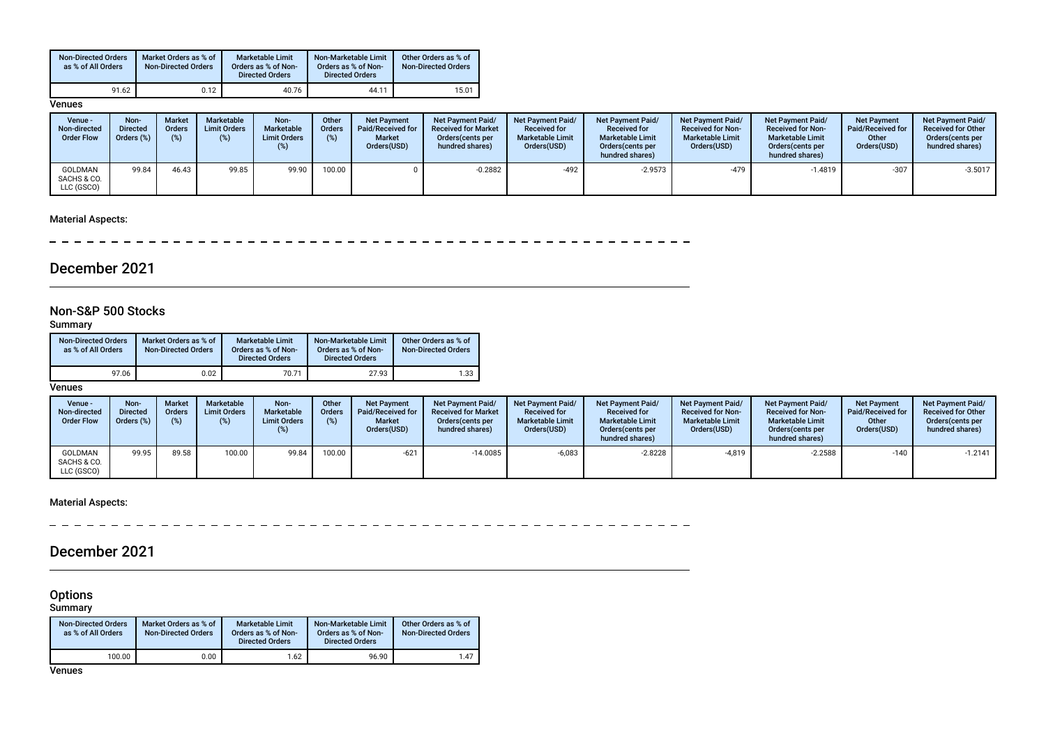| <b>Non-Directed Orders</b><br>as % of All Orders | Market Orders as % of<br><b>Non-Directed Orders</b> | <b>Marketable Limit</b><br>Orders as % of Non-<br><b>Directed Orders</b> | Non-Marketable Limit<br>Orders as % of Non-<br><b>Directed Orders</b> | Other Orders as % of<br><b>Non-Directed Orders</b> |
|--------------------------------------------------|-----------------------------------------------------|--------------------------------------------------------------------------|-----------------------------------------------------------------------|----------------------------------------------------|
| 91.62                                            | 0.12                                                | 40.76                                                                    | 44.11                                                                 | 15.01                                              |

#### **Venues**

| Venue -<br>Non-directed<br><b>Order Flow</b> | Non-<br><b>Directed</b><br>Orders (%) | <b>Market</b><br>Orders<br>(9) | Marketable<br><b>Limit Orders</b><br>(%) | Non-<br>Marketable<br><b>Limit Orders</b><br>(%) | Other<br><b>Orders</b><br>(%) | <b>Net Payment</b><br>Paid/Received for<br><b>Market</b><br>Orders(USD) | <b>Net Payment Paid/</b><br><b>Received for Market</b><br>Orders (cents per<br>hundred shares) | <b>Net Payment Paid/</b><br><b>Received for</b><br><b>Marketable Limit</b><br>Orders(USD) | <b>Net Payment Paid/</b><br><b>Received for</b><br><b>Marketable Limit</b><br>Orders(cents per<br>hundred shares) | <b>Net Payment Paid/</b><br><b>Received for Non-</b><br><b>Marketable Limit</b><br>Orders(USD) | <b>Net Payment Paid/</b><br><b>Received for Non-</b><br><b>Marketable Limit</b><br>Orders (cents per<br>hundred shares) | <b>Net Payment</b><br><b>Paid/Received for</b><br>Other<br>Orders(USD) | <b>Net Payment Paid/</b><br><b>Received for Other</b><br>Orders(cents per<br>hundred shares) |
|----------------------------------------------|---------------------------------------|--------------------------------|------------------------------------------|--------------------------------------------------|-------------------------------|-------------------------------------------------------------------------|------------------------------------------------------------------------------------------------|-------------------------------------------------------------------------------------------|-------------------------------------------------------------------------------------------------------------------|------------------------------------------------------------------------------------------------|-------------------------------------------------------------------------------------------------------------------------|------------------------------------------------------------------------|----------------------------------------------------------------------------------------------|
| GOLDMAN<br>SACHS & CO.<br>LLC (GSCO)         | 99.84                                 | 46.43                          | 99.85                                    | 99.90                                            | 100.00                        |                                                                         | $-0.2882$                                                                                      | -492                                                                                      | $-2.9573$                                                                                                         | $-479$                                                                                         | $-1.4819$                                                                                                               | -307                                                                   | $-3.5017$                                                                                    |

### Material Aspects:

 $\overline{\phantom{a}}$  $-$ 

## December 2021

### Non-S&P 500 Stocks

Summary

| <b>Non-Directed Orders</b><br>as % of All Orders | Market Orders as % of<br><b>Non-Directed Orders</b> | <b>Marketable Limit</b><br>Orders as % of Non-<br><b>Directed Orders</b> | Non-Marketable Limit<br>Orders as % of Non-<br><b>Directed Orders</b> | Other Orders as % of<br><b>Non-Directed Orders</b> |  |  |
|--------------------------------------------------|-----------------------------------------------------|--------------------------------------------------------------------------|-----------------------------------------------------------------------|----------------------------------------------------|--|--|
| 97.06                                            | 0.02                                                | 70.71                                                                    | 27.93                                                                 | 1.33                                               |  |  |

#### **Venues**

| Venue -<br>Non-directed<br><b>Order Flow</b> | Non-<br>Directed<br>Orders (%) | <b>Market</b><br><b>Orders</b><br>$(\%)$ | <b>Marketable</b><br><b>Limit Orders</b><br>(% ) | Non-<br>Marketable<br><b>Limit Orders</b> | Other<br><b>Orders</b><br>(%) | <b>Net Payment</b><br>Paid/Received for<br><b>Market</b><br>Orders(USD) | <b>Net Payment Paid/</b><br><b>Received for Market</b><br>Orders (cents per<br>hundred shares) | <b>Net Payment Paid/</b><br><b>Received for</b><br><b>Marketable Limit</b><br>Orders(USD) | Net Payment Paid/<br><b>Received for</b><br><b>Marketable Limit</b><br>Orders (cents per<br>hundred shares) | <b>Net Payment Paid/</b><br><b>Received for Non-</b><br><b>Marketable Limit</b><br>Orders(USD) | <b>Net Payment Paid/</b><br><b>Received for Non-</b><br><b>Marketable Limit</b><br>Orders (cents per<br>hundred shares) | <b>Net Payment</b><br>Paid/Received for<br>Other<br>Orders(USD) | <b>Net Payment Paid/</b><br><b>Received for Other</b><br>Orders (cents per<br>hundred shares) |
|----------------------------------------------|--------------------------------|------------------------------------------|--------------------------------------------------|-------------------------------------------|-------------------------------|-------------------------------------------------------------------------|------------------------------------------------------------------------------------------------|-------------------------------------------------------------------------------------------|-------------------------------------------------------------------------------------------------------------|------------------------------------------------------------------------------------------------|-------------------------------------------------------------------------------------------------------------------------|-----------------------------------------------------------------|-----------------------------------------------------------------------------------------------|
| GOLDMAN<br>SACHS & CO.<br>LLC (GSCO)         | 99.95                          | 89.58                                    | 100.00                                           | 99.84                                     | 100.00                        | $-621$                                                                  | $-14.0085$                                                                                     | $-6.083$                                                                                  | $-2.8228$                                                                                                   | $-4,819$                                                                                       | $-2.2588$                                                                                                               | $-140$                                                          | $-1.2141$                                                                                     |

### Material Aspects:

 $\overline{\phantom{a}}$  $-$ 

## December 2021

**Options** 

Summary

| <b>Non-Directed Orders</b><br>as % of All Orders | Market Orders as % of<br><b>Non-Directed Orders</b> | <b>Marketable Limit</b><br>Orders as % of Non-<br><b>Directed Orders</b> | Non-Marketable Limit<br>Orders as % of Non-<br><b>Directed Orders</b> | Other Orders as % of<br><b>Non-Directed Orders</b> |  |
|--------------------------------------------------|-----------------------------------------------------|--------------------------------------------------------------------------|-----------------------------------------------------------------------|----------------------------------------------------|--|
| 100.00                                           | 0.00                                                | 1.62                                                                     | 96.90                                                                 | 1.47                                               |  |

**Venues**